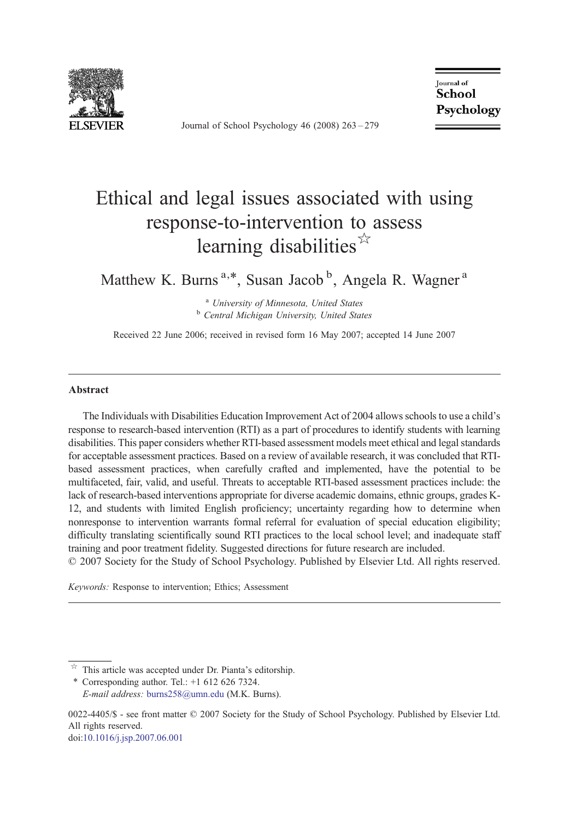

Journal of School Psychology 46 (2008) 263–279

**Journal** of School Psychology

## Ethical and legal issues associated with using response-to-intervention to assess learning disabilities  $\hat{r}$

Matthew K. Burns<sup>a,\*</sup>, Susan Jacob<sup>b</sup>, Angela R. Wagner<sup>a</sup>

<sup>a</sup> University of Minnesota, United States<br><sup>b</sup> Central Michigan University, United States

Received 22 June 2006; received in revised form 16 May 2007; accepted 14 June 2007

#### Abstract

The Individuals with Disabilities Education Improvement Act of 2004 allows schools to use a child's response to research-based intervention (RTI) as a part of procedures to identify students with learning disabilities. This paper considers whether RTI-based assessment models meet ethical and legal standards for acceptable assessment practices. Based on a review of available research, it was concluded that RTIbased assessment practices, when carefully crafted and implemented, have the potential to be multifaceted, fair, valid, and useful. Threats to acceptable RTI-based assessment practices include: the lack of research-based interventions appropriate for diverse academic domains, ethnic groups, grades K-12, and students with limited English proficiency; uncertainty regarding how to determine when nonresponse to intervention warrants formal referral for evaluation of special education eligibility; difficulty translating scientifically sound RTI practices to the local school level; and inadequate staff training and poor treatment fidelity. Suggested directions for future research are included.

© 2007 Society for the Study of School Psychology. Published by Elsevier Ltd. All rights reserved.

Keywords: Response to intervention; Ethics; Assessment

doi:[10.1016/j.jsp.2007.06.001](http://dx.doi.org/10.1016/j.jsp.2007.06.001)

This article was accepted under Dr. Pianta's editorship.

<sup>⁎</sup> Corresponding author. Tel.: +1 612 626 7324. E-mail address: [burns258@umn.edu](mailto:burns258@umn.edu) (M.K. Burns).

<sup>0022-4405/\$ -</sup> see front matter © 2007 Society for the Study of School Psychology. Published by Elsevier Ltd. All rights reserved.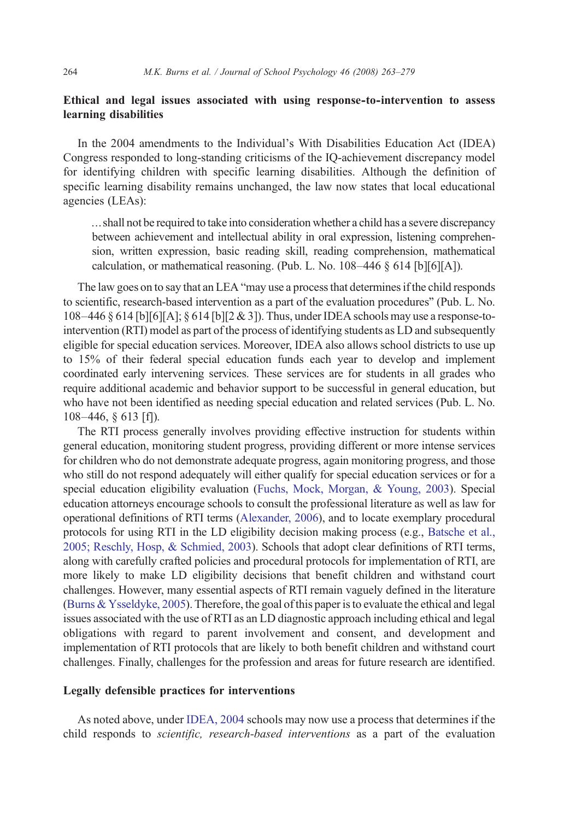### Ethical and legal issues associated with using response-to-intervention to assess learning disabilities

In the 2004 amendments to the Individual's With Disabilities Education Act (IDEA) Congress responded to long-standing criticisms of the IQ-achievement discrepancy model for identifying children with specific learning disabilities. Although the definition of specific learning disability remains unchanged, the law now states that local educational agencies (LEAs):

… shall not be required to take into consideration whether a child has a severe discrepancy between achievement and intellectual ability in oral expression, listening comprehension, written expression, basic reading skill, reading comprehension, mathematical calculation, or mathematical reasoning. (Pub. L. No. 108–446 § 614 [b][6][A]).

The law goes on to say that an LEA "may use a process that determines if the child responds to scientific, research-based intervention as a part of the evaluation procedures" (Pub. L. No.  $108-446 \& 614$  [b][6][A];  $\& 614$  [b][2  $\& 3$ ]). Thus, under IDEA schools may use a response-tointervention (RTI) model as part of the process of identifying students as LD and subsequently eligible for special education services. Moreover, IDEA also allows school districts to use up to 15% of their federal special education funds each year to develop and implement coordinated early intervening services. These services are for students in all grades who require additional academic and behavior support to be successful in general education, but who have not been identified as needing special education and related services (Pub. L. No. 108–446, § 613 [f]).

The RTI process generally involves providing effective instruction for students within general education, monitoring student progress, providing different or more intense services for children who do not demonstrate adequate progress, again monitoring progress, and those who still do not respond adequately will either qualify for special education services or for a special education eligibility evaluation ([Fuchs, Mock, Morgan, & Young, 2003\)](#page--1-0). Special education attorneys encourage schools to consult the professional literature as well as law for operational definitions of RTI terms [\(Alexander, 2006](#page--1-0)), and to locate exemplary procedural protocols for using RTI in the LD eligibility decision making process (e.g., [Batsche et al.,](#page--1-0) [2005; Reschly, Hosp, & Schmied, 2003\)](#page--1-0). Schools that adopt clear definitions of RTI terms, along with carefully crafted policies and procedural protocols for implementation of RTI, are more likely to make LD eligibility decisions that benefit children and withstand court challenges. However, many essential aspects of RTI remain vaguely defined in the literature ([Burns & Ysseldyke, 2005](#page--1-0)). Therefore, the goal of this paper is to evaluate the ethical and legal issues associated with the use of RTI as an LD diagnostic approach including ethical and legal obligations with regard to parent involvement and consent, and development and implementation of RTI protocols that are likely to both benefit children and withstand court challenges. Finally, challenges for the profession and areas for future research are identified.

### Legally defensible practices for interventions

As noted above, under [IDEA, 2004](#page--1-0) schools may now use a process that determines if the child responds to scientific, research-based interventions as a part of the evaluation